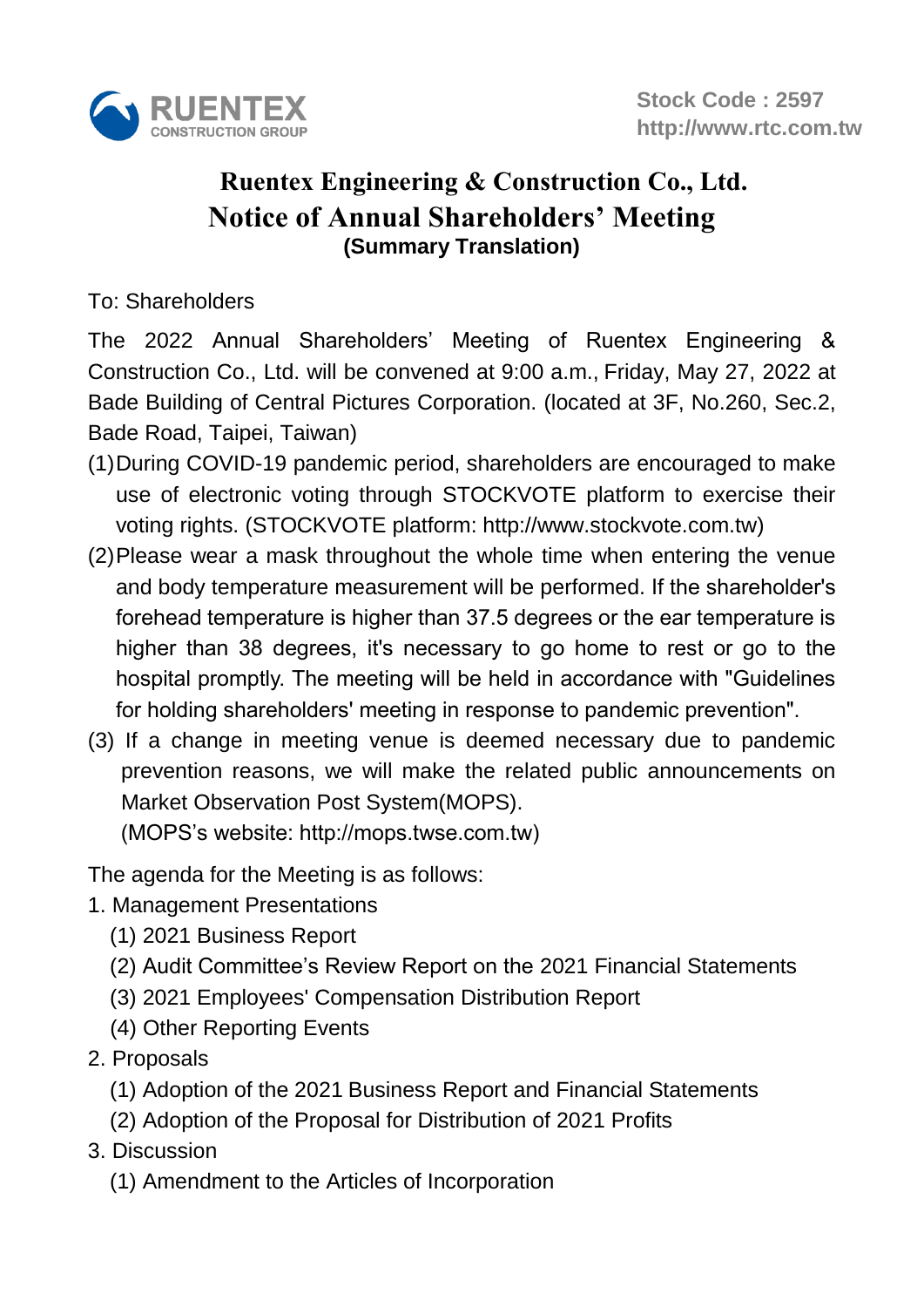

## **Notice of Annual Shareholders' Meeting (Summary Translation) Ruentex Engineering & Construction Co., Ltd.**

## To: Shareholders

The 2022 Annual Shareholders' Meeting of Ruentex Engineering & Construction Co., Ltd. will be convened at 9:00 a.m., Friday, May 27, 2022 at Bade Building of Central Pictures Corporation. (located at 3F, No.260, Sec.2, Bade Road, Taipei, Taiwan)

- (1)During COVID-19 pandemic period, shareholders are encouraged to make use of electronic voting through STOCKVOTE platform to exercise their voting rights. (STOCKVOTE platform: [http://www.stockvote.com.tw\)](http://www.stockvote.com.tw/)
- (2)Please wear a mask throughout the whole time when entering the venue and body temperature measurement will be performed. If the shareholder's forehead temperature is higher than 37.5 degrees or the ear temperature is higher than 38 degrees, it's necessary to go home to rest or go to the hospital promptly. The meeting will be held in accordance with "Guidelines for holding shareholders' meeting in response to pandemic prevention".
- (3) If a change in meeting venue is deemed necessary due to pandemic prevention reasons, we will make the related public announcements on Market Observation Post System(MOPS).

(MOPS's website: http://mops.twse.com.tw)

The agenda for the Meeting is as follows:

- 1. Management Presentations
	- (1) 2021 Business Report
	- (2) Audit Committee's Review Report on the 2021 Financial Statements
	- (3) 2021 Employees' Compensation Distribution Report
	- (4) Other Reporting Events
- 2. Proposals
	- (1) Adoption of the 2021 Business Report and Financial Statements
	- (2) Adoption of the Proposal for Distribution of 2021 Profits
- 3. Discussion
	- (1) Amendment to the Articles of Incorporation